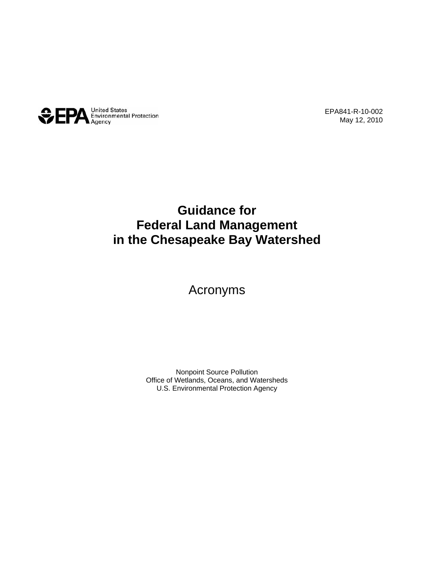

EPA841-R-10-002 May 12, 2010

## **Guidance for Federal Land Management in the Chesapeake Bay Watershed**

## Acronyms

Nonpoint Source Pollution Office of Wetlands, Oceans, and Watersheds U.S. Environmental Protection Agency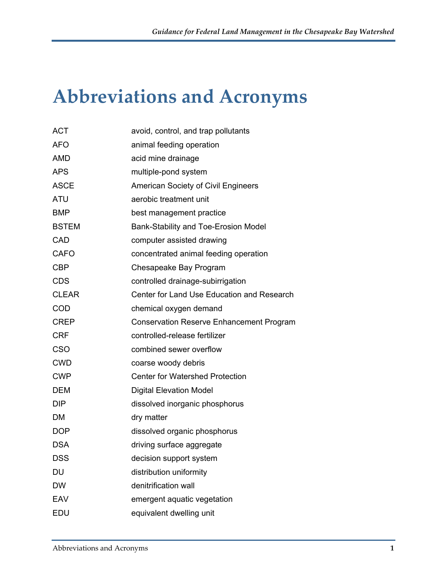## **Abbreviations and Acronyms**

| <b>ACT</b>   | avoid, control, and trap pollutants             |
|--------------|-------------------------------------------------|
| <b>AFO</b>   | animal feeding operation                        |
| <b>AMD</b>   | acid mine drainage                              |
| <b>APS</b>   | multiple-pond system                            |
| <b>ASCE</b>  | American Society of Civil Engineers             |
| <b>ATU</b>   | aerobic treatment unit                          |
| <b>BMP</b>   | best management practice                        |
| <b>BSTEM</b> | Bank-Stability and Toe-Erosion Model            |
| CAD          | computer assisted drawing                       |
| <b>CAFO</b>  | concentrated animal feeding operation           |
| <b>CBP</b>   | Chesapeake Bay Program                          |
| <b>CDS</b>   | controlled drainage-subirrigation               |
| <b>CLEAR</b> | Center for Land Use Education and Research      |
| <b>COD</b>   | chemical oxygen demand                          |
| <b>CREP</b>  | <b>Conservation Reserve Enhancement Program</b> |
| <b>CRF</b>   | controlled-release fertilizer                   |
| <b>CSO</b>   | combined sewer overflow                         |
| <b>CWD</b>   | coarse woody debris                             |
| <b>CWP</b>   | <b>Center for Watershed Protection</b>          |
| <b>DEM</b>   | <b>Digital Elevation Model</b>                  |
| <b>DIP</b>   | dissolved inorganic phosphorus                  |
| DM           | dry matter                                      |
| <b>DOP</b>   | dissolved organic phosphorus                    |
| <b>DSA</b>   | driving surface aggregate                       |
| DSS          | decision support system                         |
| DU           | distribution uniformity                         |
| <b>DW</b>    | denitrification wall                            |
| EAV          | emergent aquatic vegetation                     |
| EDU          | equivalent dwelling unit                        |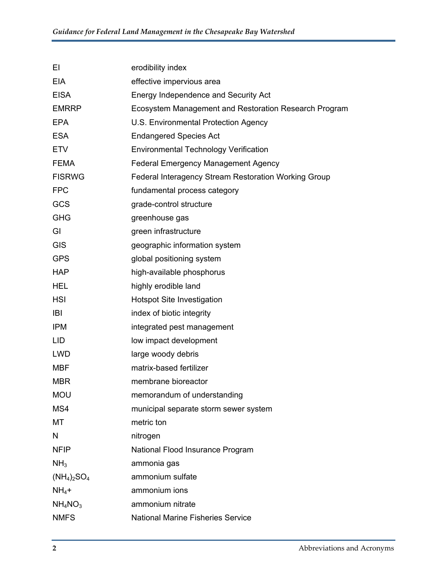| ΕI              | erodibility index                                     |
|-----------------|-------------------------------------------------------|
| EIA             | effective impervious area                             |
| <b>EISA</b>     | Energy Independence and Security Act                  |
| <b>EMRRP</b>    | Ecosystem Management and Restoration Research Program |
| <b>EPA</b>      | U.S. Environmental Protection Agency                  |
| <b>ESA</b>      | <b>Endangered Species Act</b>                         |
| <b>ETV</b>      | <b>Environmental Technology Verification</b>          |
| <b>FEMA</b>     | <b>Federal Emergency Management Agency</b>            |
| <b>FISRWG</b>   | Federal Interagency Stream Restoration Working Group  |
| <b>FPC</b>      | fundamental process category                          |
| GCS             | grade-control structure                               |
| <b>GHG</b>      | greenhouse gas                                        |
| GI              | green infrastructure                                  |
| <b>GIS</b>      | geographic information system                         |
| <b>GPS</b>      | global positioning system                             |
| <b>HAP</b>      | high-available phosphorus                             |
| <b>HEL</b>      | highly erodible land                                  |
| <b>HSI</b>      | <b>Hotspot Site Investigation</b>                     |
| <b>IBI</b>      | index of biotic integrity                             |
| <b>IPM</b>      | integrated pest management                            |
| <b>LID</b>      | low impact development                                |
| <b>LWD</b>      | large woody debris                                    |
| <b>MBF</b>      | matrix-based fertilizer                               |
| <b>MBR</b>      | membrane bioreactor                                   |
| <b>MOU</b>      | memorandum of understanding                           |
| MS4             | municipal separate storm sewer system                 |
| МT              | metric ton                                            |
| N               | nitrogen                                              |
| <b>NFIP</b>     | National Flood Insurance Program                      |
| NH <sub>3</sub> | ammonia gas                                           |
| $(NH_4)_2SO_4$  | ammonium sulfate                                      |
| $NH4$ +         | ammonium ions                                         |
| $NH_4NO_3$      | ammonium nitrate                                      |
| <b>NMFS</b>     | <b>National Marine Fisheries Service</b>              |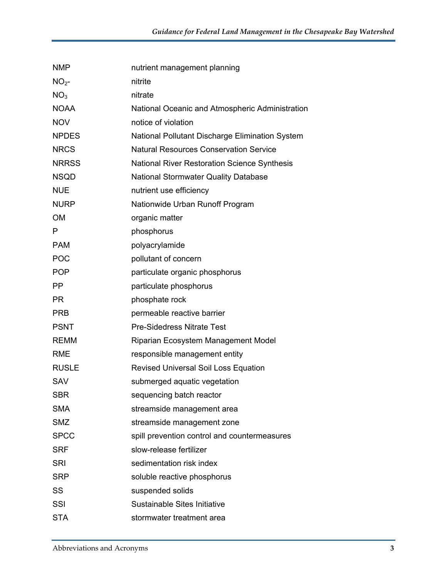| <b>NMP</b>      | nutrient management planning                    |
|-----------------|-------------------------------------------------|
| NO <sub>2</sub> | nitrite                                         |
| NO <sub>3</sub> | nitrate                                         |
| <b>NOAA</b>     | National Oceanic and Atmospheric Administration |
| <b>NOV</b>      | notice of violation                             |
| <b>NPDES</b>    | National Pollutant Discharge Elimination System |
| <b>NRCS</b>     | <b>Natural Resources Conservation Service</b>   |
| <b>NRRSS</b>    | National River Restoration Science Synthesis    |
| <b>NSQD</b>     | <b>National Stormwater Quality Database</b>     |
| <b>NUE</b>      | nutrient use efficiency                         |
| <b>NURP</b>     | Nationwide Urban Runoff Program                 |
| <b>OM</b>       | organic matter                                  |
| P               | phosphorus                                      |
| <b>PAM</b>      | polyacrylamide                                  |
| <b>POC</b>      | pollutant of concern                            |
| <b>POP</b>      | particulate organic phosphorus                  |
| <b>PP</b>       | particulate phosphorus                          |
| <b>PR</b>       | phosphate rock                                  |
| <b>PRB</b>      | permeable reactive barrier                      |
| <b>PSNT</b>     | <b>Pre-Sidedress Nitrate Test</b>               |
| <b>REMM</b>     | Riparian Ecosystem Management Model             |
| <b>RME</b>      | responsible management entity                   |
| <b>RUSLE</b>    | <b>Revised Universal Soil Loss Equation</b>     |
| <b>SAV</b>      | submerged aquatic vegetation                    |
| <b>SBR</b>      | sequencing batch reactor                        |
| <b>SMA</b>      | streamside management area                      |
| <b>SMZ</b>      | streamside management zone                      |
| <b>SPCC</b>     | spill prevention control and countermeasures    |
| <b>SRF</b>      | slow-release fertilizer                         |
| <b>SRI</b>      | sedimentation risk index                        |
| <b>SRP</b>      | soluble reactive phosphorus                     |
| SS              | suspended solids                                |
| SSI             | Sustainable Sites Initiative                    |
| <b>STA</b>      | stormwater treatment area                       |